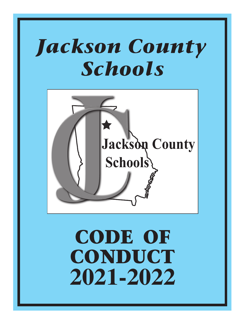# Jackson County Schools



# CODE OF CONDUCT **2021-2022**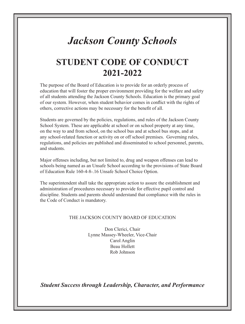## *Jackson County Schools*

## **STUDENT CODE OF CONDUCT 2021-2022**

The purpose of the Board of Education is to provide for an orderly process of education that will foster the proper environment providing for the welfare and safety of all students attending the Jackson County Schools. Education is the primary goal of our system. However, when student behavior comes in conflict with the rights of others, corrective actions may be necessary for the benefit of all.

Students are governed by the policies, regulations, and rules of the Jackson County School System. These are applicable at school or on school property at any time, on the way to and from school, on the school bus and at school bus stops, and at any school-related function or activity on or off school premises. Governing rules, regulations, and policies are published and disseminated to school personnel, parents, and students.

Major offenses including, but not limited to, drug and weapon offenses can lead to schools being named as an Unsafe School according to the provisions of State Board of Education Rule 160-4-8-.16 Unsafe School Choice Option.

The superintendent shall take the appropriate action to assure the establishment and administration of procedures necessary to provide for effective pupil control and discipline. Students and parents should understand that compliance with the rules in the Code of Conduct is mandatory.

### THE JACKSON COUNTY BOARD OF EDUCATION

Don Clerici, Chair Lynne Massey-Wheeler, Vice-Chair Carol Anglin Beau Hollett Rob Johnson

*Student Success through Leadership, Character, and Performance*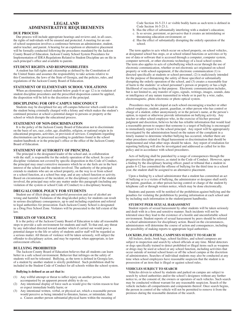### **LEGAL AND ADMINISTRATIVE REQUIREMENTS**

### **DUE PROCESS**

Due process will include appropriate hearings and reviews and, in all cases, the rights of individuals will be ensured and protected. A meeting for an outof-school suspension involves a conference between an administrator, student, and/or teacher, and parent. A hearing for an expulsion or alternative placement will be formally conducted following the procedures mandated by the Jackson County Board of Education. Jackson County School System Procedures for Implementation of IDEA Regulations Related to Student Discipline are on file in each principal's office and available to parents.

### **STUDENT RIGHTS AND RESPONSIBILITIES**

A student has full rights and citizenship as defined by the Constitution of the United States and assumes the responsibility to take actions relative to this Constitution, the laws of the State of Georgia, and the policies, rules, and regulations of the Jackson County Board of Education.

### **STATEMENT OF ELEMENTARY SCHOOL VIOLATIONS**

When an elementary school student below grade 6 or age 12 is in violation of student discipline procedures and the prescribed disposition cannot be applied, the disposition will be left to the discretion of the principal.

### **DISCIPLINING FOR OFF-CAMPUS MISCONDUCT**

Students may be disciplined for any off-campus behavior which could result in the student being criminally charged with a felony and which makes the student's continued presence at school a potential danger to persons or property at the school or which disrupts the educational process.

### **STATEMENT OF NON-DISCRIMINATION**

It is the policy of the Jackson County Board of Education not to discriminate on the basis of sex, race, color, age, disability, religion, or national origin in its educational programs, activities, or provision of services. Complaints regarding discrimination can be processed according to guidelines found in the school student handbook or in the principal's office or the office of the Jackson County Board of Education.

### **STATEMENT OF AUTHORITY OF PRINCIPAL**

The principal is the designated leader of the school and, in collaboration with the staff, is responsible for the orderly operation of the school. In case of discipline violations not covered by specific disposition in this Code of Conduct, the principal may enact corrective measures which he or she feels are in the best interest of the school and the student involved. The authority of the principal extends to students who are on school property, on the way to or from school or a school function, at a school bus stop, and at any school function or activity. Based on circumstances of the incident, or the disciplinary record of the student involved, the principal may refer any matter under this paragraph (including any violation of the system or school Code of Conduct) to a disciplinary hearing.

### **DRUG/ALCOHOL POLICY FOR STUDENTS**

Student use of illicit drugs and unlawful possession and use of alcohol are wrong and harmful. Violations of the drug/alcohol policy for students can result in serious disciplinary consequences, up to and including expulsion and referral to legal authorities for prosecution. Each Jackson County School is designated as a Drug Free School Zone. Violators will be prosecuted to the full extent of the law.

### **THREATS OF VIOLENCE**

It is the policy of the Jackson County Board of Education to take all reasonable steps to provide a safe environment for students and staff. To that end, any threat by any individual directed toward another which if carried out would pose a potential danger to the life or safety of students and/or staff will be regarded as a serious matter. All threats of violence will be taken seriously, will subject the offender to disciplinary action, and may be reported, when appropriate, to law enforcement officials.

### **BULLYING PROHIBITED**

The Jackson County Board of Education believes that all students can learn better in a safe school environment. Behavior that infringes on the safety of students will not be tolerated. Bullying, as the term is defined in Georgia law, of a student by another student is strictly prohibited. Such prohibition shall be included in the Student Code of Conduct for all schools within the school system.

### **Bullying is defined as an act that is:**

- (1) Any willful attempt or threat to inflict injury on another person, when accompanied by an apparent present ability to do so;
- (2) Any intentional display of force such as would give the victim reason to fear or expect immediate bodily harm; or
- (3) Any intentional written, verbal, or physical act, which a reasonable person would perceive as being intended to threaten, harass, or intimidate, that: a. Causes another person substantial physical harm within the meaning of

Code Section 16-5-23.1 or visible bodily harm as such term is defined in Code Section 16-5-23.1;

- b. Has the effect of substantially interfering with a student's education;
- c. Is so severe, persistent, or pervasive that it creates an intimidating or threatening education environment; or
- d. Has the effect of substantially disrupting the orderly operation of the school.

 The term applies to acts which occur on school property, on school vehicles, at designated school bus stops, or at school related functions or activities or by use of data or software that is accessed through a computer, computer system, computer network, or other electronic technology of a local school system. The term also applies to acts of cyberbullying which occur through the use of electronic communication, whether or not electronic act originated on school property or with school equipment, if the electronic communication (1) is directed specifically at students or school personnel, (2) is maliciously intended for the purpose of threatening the safety of those specified or substantially disrupting the orderly operation of the school, and (3) creates a reasonable fear of harm to the students' or school personnel's person or property or has a high likelihood of succeeding in that purpose. Electronic communication includes, but is not limited to, any transfer of signs, signals, writings, images, sounds, data or intelligence of any nature transmitted in whole or in part by a wire, radio, electromagnetic, photo electronic or photo optical system.

 Procedures may be developed at each school encouraging a teacher or other school employee, student, parent, guardian, or other person who has control or charge of a student, either anonymously or in the person's name, at the person's option, to report or otherwise provide information on bullying activity. Any teacher or other school employee who, in the exercise of his/her personal judgment and discretion, believes he/she has reliable information that would lead a reasonable person to suspect that someone is a target of bullying is encouraged to immediately report it to the school principal. Any report will be appropriately investigated by the administration based on the nature of the complaint in a timely manner to determine whether bullying has occurred, whether there are other procedures related to illegal harassment or discrimination that should be implemented and what other steps should be taken. Any report of retaliation for reporting bullying will also be investigated and addressed as called for in this policy and in accordance with school procedures.

Acts of bullying shall be punished by a range of consequences through the progressive discipline process, as stated in the Code of Conduct. However, upon a finding by the disciplinary hearing officer, panel or tribunal that a student in grades 6-12 has committed the offense of bullying for the third time in a school year, the student shall be assigned to an alternative placement.

Upon a finding by a school administrator that a student has committed an act of bullying or is a victim of bullying, the administrator or designee shall notify the parent, guardian, or other person having control or charge of the student by telephone call or through written notice, which may be done electronically.

Students and parents will be notified of the prohibition against bullying and the penalties for violating the prohibition by posting information at each school and by including such information in the student/parent handbooks.

### **STUDENT PEER SEXUAL HARASSMENT**

Student reports of sexual harassment by other students will be taken seriously and dealt with in a firm and sensitive manner. Such incidents will not be tolerated since they lead to the existence of a hostile and uncomfortable school environment. Student reports of sexual harassment by peers should be referred to school administrators for disciplinary action. Based on the circumstances, administrators will determine the course of action and consequences, including the possibility of making reports to appropriate legal authorities.

### **LOCKERS, FACILITIES, CAMPUSES SUBJECT TO SEARCH**

All lockers, desks, book bags, school facilities, and school campuses are subject to inspection and search by school officials at any time. Metal detectors or dogs specifically trained to detect prohibited or illegal items such as weapons or drugs may be used at school or any school function, including activities that occur outside of normal school hours or off the school campus at the discretion of administrators. Searches of individual students may also be conducted at any time when school employees have reasonable suspicion that the student is in possession of an item that is illegal or against school rules.

### **VEHICLES SUBJECT TO SEARCH**

Vehicles driven to school by students and parked on campus are subject to search by school authorities and/or the school's designees without any further notice to, or the consent of, the owners or operators of such vehicles. Such search may be conducted without warrant for any reasonable suspicion. Search of the vehicle includes all compartments and components thereof. Once search begins, the person in control of the vehicle will not be permitted to remove it from the premises during the reasonable duration of the search.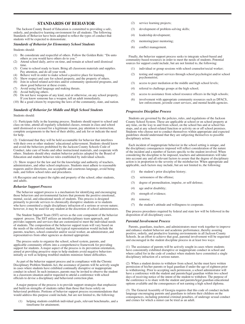### **STANDARDS OF BEHAVIOR**

The Jackson County Board of Education is committed to providing a safe, orderly, and productive learning environment for all students. The following Standards of Behavior have been adopted to reflect the types of conduct that students will be expected to demonstrate.

### *Standards of Behavior for Elementary School Students*

Students should:

- (1) Be considerate and respectful of others. Follow the Golden Rule: "Do unto others as you would have others do to you."
- (2) Attend school daily, arrive on time, and remain at school until dismissal time.
- (3) Come to school ready to learn. Bring all classroom materials and supplies. Pay attention, and do all your work.
- (4) Behave well in order to make school a positive place for learning.<br>(5) Show respect and care for school property, and the property of oth
- Show respect and care for school property, and the property of others.
- (6) Join in school related activities and/or community sponsored programs, and show good behavior at these events.
- (7) Avoid using foul language and making threats.
- (8) Avoid bullying others.
- (9) Do not have weapons of any kind, real or otherwise, on any school property. If you know someone has a weapon, tell an adult immediately.
- (10) Be a good citizen by respecting the laws of the community, state, and nation.

### *Standards of Behavior for Middle and High School Students*

Students should:

(1) Participate fully in the learning process. Students should report to school and class on time, attend all regularly scheduled classes, remain in class and school until dismissed or excused for a legitimate reason, pay attention to instruction, complete assignments to the best of their ability, and ask for or indicate the need for help.

(2) Understand that they will be held accountable for behavior that interferes with their own or other students' educational achievement. Students should know and avoid the behaviors prohibited by the Jackson County Schools Code of Conduct, take care of books and other instructional materials, and cooperate with others. Students should obey student behavior policies adopted by the Board of Education and student behavior rules established by individual schools.

(3) Show respect for the law and for the knowledge and authority of teachers, administrators, and other school employees. Students must adhere to reasonable requests and/or directions, use acceptable and courteous language, avoid being rude, and follow school rules and procedures.

(4) Recognize and respect the rights and property of the school, other students, and adults.

### *Behavior Support Process*

The behavior support process is a mechanism for identifying and encouraging those behaviors and environmental factors that promote the positive emotional, mental, social, and educational needs of students. This process is designed primarily to provide services to chronically disruptive students or to students who have committed a single disciplinary infraction of a serious or severe nature; however, it may be used for any student at the discretion of school administrators.

The Student Support Team (SST) serves as the core component of the behavior support process. The SST utilizes an interdisciplinary team approach, and provides supports and services that are customized to meet the individual needs of students. The composition of the behavior support team will vary based on the needs of the referred student, but typical representation would include the parents, teachers, school counselor and/or social worker, an administrator, and representatives from other agencies as deemed appropriate.

The process seeks to organize the school, school system, parents, and applicable community efforts into a comprehensive framework for providing support for students. A major aspect of the process is its prevention orientation, aimed at providing proactive steps to help students avoid negative behaviors initially as well as helping troubled students minimize future difficulties.

As part of the behavior support process and in compliance with the Chronic Disciplinary Problem Students Act, the assistance of parents will be actively sought in cases where students have exhibited continually disruptive or inappropriate conduct in school. In such instances, parents may be invited to observe the student in a classroom situation and/or requested to attend a conference with school officials to devise a disciplinary and behavioral correction plan.

A major purpose of the process is to provide support strategies that emphasize and build on strengths of students rather than those that focus solely on behavioral problems. Portions of behavior support process recommendations that would address this purpose could include, but are not limited to, the following:

helping students establish individual goals, relevant benchmarks, and a timeframe for attainment;

- (2) service learning projects;
- (3) development of problem-solving skills;
- (4) leadership development;
- (5) mentoring/peer mentoring;
- (6) conflict management.

Finally, the behavior support process seeks to integrate school-based and community-based resources in order to meet the needs of students. Potential sources for support could include, but are not limited to, the following:

- (1) individual or group sessions with school counselor/social worker;
- (2) testing and support services through school psychologist and/or school psychometrist;
- (3) access to peer mediation at the middle and high school levels;
- (4) referral to challenge groups at the high school;
- (5) access to assistance from school resource officers in the high schools;
- (6) involvement with appropriate community resources such as DFACS, law enforcement, juvenile court services, and mental health agencies.

### *Progressive Discipline Process*

Students are governed by the policies, rules, and regulations of the Jackson County School System. These are applicable at school or on school property at any time, on the way to and from school, on the school bus and at school bus stops, and at any school-related function or activity on or off school premises. Students who choose not to conduct themselves within appropriate and expected guidelines should understand that they are subjecting themselves to possible disciplinary action.

Each incident of inappropriate behavior in the school setting is unique, and the disciplinary consequences imposed will reflect consideration of the nature of the incident and a number of factors specific to the student involved. When considering the discipline to be imposed, teachers and administrators will take into account any and all relevant factors to assure that the degree of disciplinary action is in proportion to the severity of the misbehavior. When appropriate and applicable, such factors may include, but are not limited to, the following:

- (1) the student's prior discipline history;
- (2) seriousness of the offense;
- (3) degree of premeditation, impulse, or self-defense;
- (4) age and/or disability;
- (5) strength of evidence;
- (6) remorse;
- (7) the student's attitude and willingness to cooperate.

Due process procedures required by federal and state law will be followed in the disposition of all disciplinary cases.

### *Parental Involvement Process*

Parents, guardians, teachers, and administrators must work together to improve and enhance student behavior and academic performance, thereby assuring positive, orderly, and productive learning environments in all Jackson County Schools. In an effort to achieve that goal, parental involvement will be requested and encouraged in the student discipline process in at least two ways:

(1) The assistance of parents will be actively sought in cases where students have consistently exhibited disruptive or inappropriate conduct in school and where called for in the code of conduct when students have committed a single disciplinary infraction of a serious nature.

(2) When a student desires to withdraw from school, he/she must have written permission of his/her parents or legal guardian if under the age of eighteen prior to withdrawing. Prior to accepting such permission, a school administrator will have a conference with the student and parents/legal guardian within two school days of receiving notice of the intent of the student to withdraw. The purpose of the conference is to share with the student and parents/legal guardian educational options available and the consequences of not earning a high school diploma.

(3) The General Assembly of Georgia requires that this code of conduct include language encouraging parents and guardians to inform their children on the consequences, including potential criminal penalties, of underage sexual conduct and crimes for which a minor can be tried as an adult.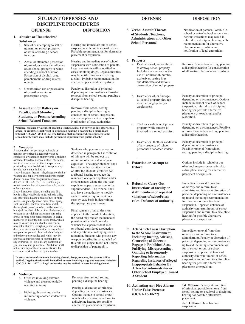### **OFFENSE STUDENT OFFENSES AND DISPOSITION OFFENSE DISPOSITION DISCIPLINE PROCEDURES OFFENSE DISPOSITION**

### **1. Abusive or Unauthorized**

### **Substances**

- a. Sale of or attempting to sell or transmit on school property, or while attending a school function.
- b. Actual or attempted possession of, use of, or under the influence of, on school property or while attending a school function. Possession of alcohol, drug paraphernalia or drug related objects.
- c. Unauthorized use or possession of over-the-counter or prescription drugs.
- **2. Assault and/or Battery on Faculty, Staff Member, Students, or Persons Attending School Related Functions**

### Hearing and immediate out-of-school suspension with notification of parents. Probable recommendation for alternative placement or expulsion.

Hearing and immediate out-of-school suspension with notification of parents. Legal authorities will be notified in cases involving drugs. Legal authorities may be notified in cases involving alcohol. Probable recommendation for alternative placement or expulsion.

Penalty at discretion of principal depending on circumstances. Possible removal from school setting, pending a discipline hearing.

Removal from school setting, pending a discipline hearing to consider out-of-school suspension, alternative placement or expulsion. Notification of legal authorities.

**"Physical violence by a student against a teacher, school bus driver or any other school official or employee shall result in suspension pending a hearing by a disciplinary tribunal (O.C.G.A. 20-2-751.6). The tribunal shall recommend consequences to the school board, which may include permanent expulsion from public school."**

### **3. Weapons**

A student shall not possess, use, handle or transmit any object that reasonably can be considered a weapon on property or in a building owned or leased by a school district, at a school function, or on a bus or other transportation provided by the school district. Weapons may include, but are not limited to:

1. Any handgun, firearm, rifle, shotgun or similar weapon; any explosive compound or incendiary device; or, any other dangerous weapon as defined in O.C.G.A. 16-11-121, including a rocket launcher, bazooka, recoilless rifle, mortar, or hand grenade.

2. Any hazardous object, including any dirk bowie knife, switchblade knife, ballistic knife, any other knife having a blade of two or more inches, straight-edge razor, razor blade, spring stick, knuckles, whether made from metal, thermoplastic, wood, or other similar material, blackjack, any bat, club, or other bludgeon-type weapon, or any flailing instrument consisting or two or more rigid parts connected in such a manner as to allow them to swing freely, which may be known as a nun chahka, nun chuck, nunchaku, shuriken, or fighting chain, or any disc, or whatever configuration, having at least two points or pointed blades which is designed to be thrown or propelled and which may be known as a throwing star or oriental dart, or any instrument of like kind, any nonlethal air gun, and any stun gun or taser. Such term shall not include any of these instruments used for classroom work authorized by the teacher.

Students who possess any weapon described in paragraph 1 in violation of this rule will be subject to a minimum of a one calendar year expulsion. The Superintendent shall have the authority either before or after the student is referred for a tribunal hearing to reduce the mandated one-year expulsion under circumstances where the one-year expulsion appears excessive to the superintendent. The tribunal shall also have the authority to modify such expulsion requirement on a case-by-case basis in determining the appropriate punishment.

Finally, in any tribunal decision appealed to the board of education, the board may reduce the mandated punishment but shall consider whether the superintendent and/ or tribunal considered a reduction and any rationale in denying such a reduction. Students who possess any weapon described in paragraph 2 of this rule are subject to but not limited to disposition of paragraph 1.

**In every instance of violations involving alcohol, drugs, weapons, the parents will be notified. Legal authorities will be notified in cases involving drugs and weapons violations (O.C.G.A. 16-11-127.1). Legal authorities may be notified in cases involving alcohol.**

### **4. Violence**

- a. Offenses involving extreme violence and those potentially resulting in injury
- b. Fighting, threatening, and/or intimidating another student with violence.

Removal from school setting, pending a discipline hearing.

Penalty at discretion of principal depending on the circumstances. Options include in-school or outof-school suspension or referral to a discipline hearing for possible alternative placement or expulsion.

**5. Verbal Assault/Threats of Students, Teachers, Administrators and Other School Personnel**

### **6. Property**

- a. Destruction of, and/or threat to destroy school property. Includes such actions as the use of, or threat of, bombs, explosives, setting fires, and deliberate and serious destruction of school property.
- b. Destruction of, or damage to, school property through mischief, negligence, or carelessness.
- c. Theft or vandalism of private property while student is involved in a school activity.
- d. Destruction, theft, or vandalism of any property of school personnel or another student.
- **7. Extortion or Attempt to Extort**
- **8. Refusal to Carry Out Instructions of faculty or staff members or repeated violations of school/class rules. Defiance of authority.**

**9. Acts Which Cause Disruption to the School Environment, Including Inciting, Advising, Counseling of Others to Engage in Prohibited Acts, Falsifying, Misrepresenting, Omitting or Erroneously Reporting Information Regarding Instances of Alleged Inappropriate Behavior By A Teacher, Administrator or Other School Employee Toward A Student**

**10. Activating Any Fire Alarms Under False Pretense (OCGA 16-10-27)**

hearing for possible alternative placement or expulsion. Immediate removal from class

or activity and referral to an administrator. Penalty at discretion of principal depending on circumstances up to and including recommendation for in-school or out-of-school suspension. Repeated defiance of authority can result in out-of-school suspension and referral to a discipline hearing for possible alternative placement or expulsion.

1st Offense: Penalty at discretion of principal; possible removal from school setting or a referral to discipline hearing for possible alternative placement.

**2nd Offense:** Out-of-school suspension.

Notification of parents. Possible inschool or out-of-school suspension. Serious infractions may result in referral to a discipline hearing with recommendation for alternative placement or expulsion and notification of legal authorities.

Removal from school setting, pending a discipline hearing for consideration of alternative placement or expulsion.

Penalty at discretion of principal depending on circumstances. Options include in-school or out-of-school suspension, referral to a discipline hearing for possible alternative placement or expulsion, and/or restitution.

Penalty at discretion of principal depending on circumstances. Possible removal from school setting, pending a discipline hearing.

Penalty at discretion of principal depending on circumstances. Possible removal from school setting, pending a discipline hearing.

Options include in-school or outof-school suspension or referral to a discipline hearing for alternative

Immediate removal from class or activity and referral to an

administrator. Penalty at discretion of principal depending on circumstances up to and including recommendation for in-school or out-of-school suspension. Repeated defiance of authority can result in out-of-school suspension and referral to a discipline

placement or expulsion.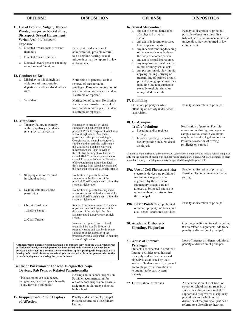- **11. Use of Profane, Vulgar, Obscene Words, Images, or Racial Slurs, Disrespect, Sexual Harassment, Verbal Assault, Indecent Exposure**
	- a. Directed toward faculty or staff members
	- b. Directed toward students
	- c. Directed toward persons attending school related functions.

### **12. Conduct on Bus**

b. Vandalism

a. Misbehavior which includes violations of transportation department and/or individual bus rules.

to a discipline hearing, sexual misconduct may be reported to law enforcement.

Penalty at the discretion of administration, possible referral

Notification of parents. Possible removal of transportation privileges. Permanent revocation of transportation privileges if incident is extreme or repeated.

Notification of parents. Restitution for damages. Possible removal of transportation privileges if incident is extreme or repeated.

Notification of parents. In-school

### **13. Attendance**

a. Truancy/Failure to comply with compulsory attendance (O.C.G.A. 20-2-690-.1)

- b. Skipping class or required in-school activity
- c. Leaving campus without permission
- d. Chronic Tardiness
	- 1. Before School
	- 2. Class Tardies

### suspension at the discretion of the principal. Possible assignment to Saturday school at high school. Any parent, guardian, or other person residing in Georgia who has control or charge of a child or children and who shall violate this Code section shall be guilty of a misdemeanor and, upon conviction thereof, shall be subject to a fine not to exceed \$100.00 or imprisonment not to

exceed 30 days, or both, at the discretion of the court having jurisdiction. Each day's absence from school in violation of this part shall constitute a separate offense. Notification of parents. In-school suspension at the discretion of the principal. Possible assignment to Saturday school at high school. Notification of parents. Hearing and inschool suspension at the discretion of the principal. Possible assignment to Saturday school at high school.

Referral to an administrator. Notification of parents. In-school suspension at the discretion of the principal. Possible assignment to Saturday school at high school.

In severe or repeated cases, referral to an administrator. Notification of parents. Hearing and possible in-school suspension at the discretion of the principal. Possible assignment to Saturday school at high school.

**A student whose parent or legal guardian is in military service in the U.S. armed forces or National Guard, and such parent has been called to duty for or is on leave from overseas deployment to a combat zone or combat support posting will be granted up to five days of excused absences per school year to visit with his or her parent prior to the parent's deployment or during the parent's leave.**

### **14. Use or Possession of Tobacco, E-cigarettes, Vape Devices, Dab Pens, or Related Paraphernalia**

| "Possession or use of tobacco,<br>e-cigarettes, or related paraphernalia<br>in any form is prohibited." | Hearing and in-school suspension.<br>Possible recommendation for<br>out-of-school suspension. Possible<br>assignment to Saturday school at<br>high school. |
|---------------------------------------------------------------------------------------------------------|------------------------------------------------------------------------------------------------------------------------------------------------------------|
| 15. Inappropriate Public Displays<br>of Affection                                                       | Penalty at discretion of principal.<br>Possible referral to a disciplinary<br>hearing.                                                                     |

### **16. Sexual Misconduct**

- a. any act of sexual harassment of a physical or verbal nature.
- b. any act of indecent exposure, lewd exposure, gesture.
- c. any indecent fondling/touching of the student's own body or the body of another person.
- d. any act of sexual intercourse. e. any inappropriate gestures that
- mimic or imply sexual acts. f. any possession of, viewing of, copying, selling , buying or transmitting of printed or nonprinted pornographic materials including any non-curricular sexually explicit printed or non-printed materials.

### **17. Gambling**

On school property or while attending an activity under school supervision.

Penalty at discretion of principal.

### **18. On-Campus**

- **Traffic Violations** a. Speeding and/or reckless driving.
- b. Improper parking. Parking in faculty parking area. No decal displayed.

Notification of parents. Possible revocation of driving privileges on campus. Serious traffic violations may be referred to legal authorities. Possible revocation of driving privileges on campus.

(Students are authorized to drive motorized vehicles on elementary and middle school campuses only for the purpose of picking up and delivering elementary students who are members of their immediate family. Hardship cases may be appealed through the principal.)

| 19a. Use of Cell Phones, and other<br>electronic devices are prohibited<br>in class unless permission<br>is granted by the instructor.<br>Elementary students are not<br>allowed to bring cell phones to<br>school without permission from<br>the principal.                                                            | Penalty at discretion of principal.<br>Possible placement in an alternative<br>setting.                                                                                            |
|-------------------------------------------------------------------------------------------------------------------------------------------------------------------------------------------------------------------------------------------------------------------------------------------------------------------------|------------------------------------------------------------------------------------------------------------------------------------------------------------------------------------|
| <b>19b. Laser Pointers</b> are prohibited<br>on school property, on buses, and<br>at all school-sponsored activities.                                                                                                                                                                                                   | Penalty at discretion of principal.                                                                                                                                                |
| 20. Academic Dishonesty,<br><b>Cheating, Plagiarism</b>                                                                                                                                                                                                                                                                 | Grading penalties up to and including<br>0's on related assignments, additional<br>penalty at discretion of principal.                                                             |
| 21. Abuse of Internet<br><b>Privileges</b><br>Students are expected to limit their<br>Internet activities to authorized<br>sites only and to the educational<br>objectives established by their<br>teachers. Students are also expected<br>not to plagiarize information or<br>to attempt to bypass system<br>security. | Loss of Internet privileges, additional<br>penalty at discretion of principal.                                                                                                     |
| <b>22. Cumulative Offenses</b>                                                                                                                                                                                                                                                                                          | An accumulation of violations of<br>school or school system rules by a<br>student who has not responded to<br>support and progressive disciplinary<br>procedures and, which in the |

discretion of the principal, justifies a referral to a disciplinary hearing.

 **OFFENSE DISPOSITION OFFENSE DISPOSITION**

Penalty at discretion of principal, possible referral to a discipline tribunal, sexual harassment or sexual misconduct may be reported to law enforcement.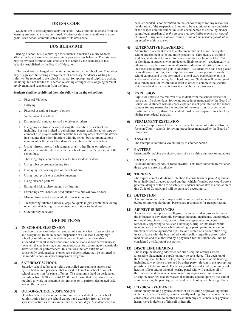### **DRESS CODE**

Students are to dress appropriately for school. Any attire that distracts from the learning environment is not permitted. Modesty, safety and cleanliness are our goals. Each school communicates details of its dress code.

### **BUS BEHAVIOR**

Riding a school bus is a privilege for students in Jackson County Schools, afforded only to those who demonstrate appropriate bus behavior. The privilege may be revoked for those who choose not to abide by the standards of bus behavior established by the Board of Education.

The bus driver is charged with maintaining order on the school bus. The driver may assign specific seating arrangements if necessary. Students violating bus rules will be reported to the school principal for appropriate disciplinary action, including, but not limited to, alternative seating arrangements, ongoing parental involvement and suspension from the bus.

### **Students shall be prohibited from the following on the school bus:**

- a. Physical Violence
- b. Bullying
- c. Physical assault or battery of others
- d. Verbal assault of others
- e. Disrespectful conduct toward the driver or others
- f. Using any electronic devices during the operation of a school bus, including, but not limited to cell phones, pagers, audible radios, tape or compact disc players without headphones, or any other electronic device in a manner that might interfere with the school bus communications equipment or the school bus driver's operation of the school bus
- g. Using mirrors, lasers, flash cameras or any other lights or reflective devices that might interfere with the school bus driver's operation of the school bus.
- h. Throwing objects on the bus or out a bus window or door
- i. Using tobacco products in any form
- j. Damaging seats or any part of the school bus
- k. Using loud, profane or abusive language
- l. Using obscene gestures
- m. Eating, drinking, chewing gum or littering
- n. Extending arms, hands or head outside of a bus window or door
- o. Moving from seat to seat while the bus is in motion
- p. Transporting inflated balloons, large bouquets in glass containers, or any other item which might create visual restrictions to the driver
- q. Other unruly behavior

### **DEFINITIONS**

### **1) IN-SCHOOL SUSPENSION**

In-school suspension refers to removal of a student from class or classes and assignment to the in-school suspension at a Jackson County high school or middle school. A student on in-school suspension also is suspended from all school-sponsored competitions and/or performances; however, the student may continue to practice for upcoming extracurricular activities and/or performances. In situations that are extreme or consistently prolonged, an elementary school student may be assigned to the middle school in-school suspension program.

### **2) SATURDAY SCHOOL**

Saturday school refers to a rigidly controlled environment supervised by certified school personnel that is used in lieu of in-school or out-ofschool suspension for some offenses. The program is held on designated Saturdays from 8:30 a.m. until 12:30 p.m. During that time, students are required to work on academic assignments or to perform designated tasks around the campus.

### **3) OUT-OF-SCHOOL SUSPENSION**

Out-of-school suspension refers to removal of a student by the school administration from the school campus and exclusion from all schoolsponsored activities for not more than 10 school days. A student who has been suspended is not permitted on the school campus for any reason for the duration of the suspension. In order to be readmitted at the conclusion of the suspension, the student must be accompanied to school by his/her parent/legal guardian. *It is the student's responsibility to make up missed classwork, assignments, and/or exams within a time period equivalent to the number of days absent.*

### **4) ALTERNATIVE PLACEMENT**

Alternative placement refers to a placement that will make the regular school environment safer and more productive. Chronically disruptive students, students determined to have committed violations of the Code of Conduct, or students who are deemed likely to benefit, academically or otherwise, may be moved to an alternative educational setting to receive their free and appropriate public education. A student who has been placed in an alternative setting for disciplinary reasons is not permitted on the school campus and is not permitted to attend extra-curricular events or activities related to the regular school program. Students will be assigned an alternate location within the district in order to complete the specific state-mandated assessments associated with their coursework.

### **5) EXPULSION**

Expulsion refers to the removal of a student from the school district for more than 10 school days, following procedures mandated by the Board of Education. A student who has been expelled is not permitted on the school campus for any reason for the duration of the expulsion. In order to be readmitted after expulsion, the student must be accompanied to school by his/her parent/legal guardian.

### **6) PERMANENT EXPULSION**

Permanent expulsion refers to the permanent removal of a student from all Jackson County schools, following procedures mandated by the Board of Education.

### **7) ASSAULT**

The attempt to commit a violent injury to another person.

### **8) BATTERY** Intentionally making physical contact of an insulting and provoking nature.

### **9) EXTORTION**

To obtain money, goods, or force unwillful acts from someone by violence, threats, or misuse of authority.

### **10) THREATS**

The expression of a deliberate intention to cause harm or pain. Any threat by an individual directed toward another, which if carried out would pose a potential danger to the life or safety of students and/or staff is a violation of this Code of Conduct and will be punished accordingly.

### **11) DETENTION**

A requirement that, after proper notification, a student attends school before or after regular hours. Parents are responsible for transportation.

### **12) ABUSIVE SUBSTANCES**

A student shall not possess, sell, give to another student, use or be under the influence of any alcoholic beverage, inhalant, marijuana, unauthorized or illegal drug, intoxicant, or any substance represented to be, or reasonably appearing to be, such a beverage, drug, or intoxicant while in attendance at school or while attending or participating in any school function or school-sponsored trip. Use as directed of a prescription drug in accordance with the board of education policy regarding prescription medication and as authorized by a physician for the student shall not be considered a violation of this policy.

### **13) DISCIPLINE HEARING**

The discipline hearing addresses serious discipline offenses where alternative placement or expulsion may be considered. The decision of the hearing shall be based solely on the evidence received at the hearing, including any evidence presented by either party relevant to the appropriate punishment to be imposed. The hearing will be conducted by an impartial hearing officer and/or tribunal hearing panel who will consider all of the evidence and make a decision regarding appropriate punishment. Discipline hearings may be waived if mutually agreed upon by the school administration, the parent/guardian and the school system hearing officer.

### **14) PHYSICAL VIOLENCE**

Intentionally making physical contact of an insulting or provoking nature with the person of another; or intentionally making physical contact which causes physical harm to another unless such physical contacts or physical harms were in defense of himself or herself.